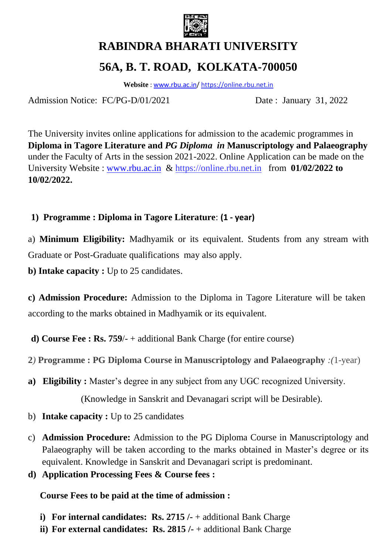

# **RABINDRA BHARATI UNIVERSITY 56A, B. T. ROAD, KOLKATA-700050**

**Website** : [www.rbu.ac.in/](http://www.rbu.ac.in/) https://online.rbu.net.in

Admission Notice: FC/PG-D/01/2021 Date : January 31, 2022

The University invites online applications for admission to the academic programmes in **Diploma in Tagore Literature and** *PG Diploma in* **Manuscriptology and Palaeography** under the Faculty of Arts in the session 2021-2022. Online Application can be made on the University Website : [www.rbu.ac.in](http://www.rbu.ac.in/) & https://online.rbu.net.in from **01/02/2022 to 10/02/2022.**

## **1) Programme : Diploma in Tagore Literature**: **(1 - year)**

a) **Minimum Eligibility:** Madhyamik or its equivalent. Students from any stream with Graduate or Post-Graduate qualifications may also apply.

**b) Intake capacity :** Up to 25 candidates.

**c) Admission Procedure:** Admission to the Diploma in Tagore Literature will be taken according to the marks obtained in Madhyamik or its equivalent.

**d) Course Fee : Rs. 759**/- + additional Bank Charge (for entire course)

**2***)* **Programme : PG Diploma Course in Manuscriptology and Palaeography** *:(*1-year)

**a) Eligibility :** Master's degree in any subject from any UGC recognized University.

(Knowledge in Sanskrit and Devanagari script will be Desirable).

- b) **Intake capacity :** Up to 25 candidates
- c) **Admission Procedure:** Admission to the PG Diploma Course in Manuscriptology and Palaeography will be taken according to the marks obtained in Master's degree or its equivalent. Knowledge in Sanskrit and Devanagari script is predominant.
- **d) Application Processing Fees & Course fees :**

**Course Fees to be paid at the time of admission :**

- **i) For internal candidates: Rs. 2715 /-** + additional Bank Charge
- **ii) For external candidates: Rs. 2815 /-** + additional Bank Charge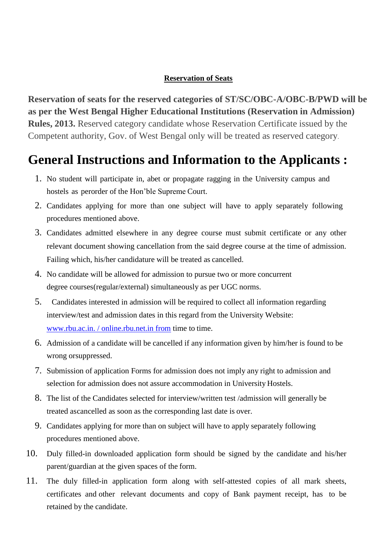#### **Reservation of Seats**

**Reservation of seats for the reserved categories of ST/SC/OBC-A/OBC-B/PWD will be as per the West Bengal Higher Educational Institutions (Reservation in Admission) Rules, 2013.** Reserved category candidate whose Reservation Certificate issued by the Competent authority, Gov. of West Bengal only will be treated as reserved category*.* 

## **General Instructions and Information to the Applicants :**

- 1. No student will participate in, abet or propagate ragging in the University campus and hostels as perorder of the Hon'ble Supreme Court.
- 2. Candidates applying for more than one subject will have to apply separately following procedures mentioned above.
- 3. Candidates admitted elsewhere in any degree course must submit certificate or any other relevant document showing cancellation from the said degree course at the time of admission. Failing which, his/her candidature will be treated as cancelled.
- 4. No candidate will be allowed for admission to pursue two or more concurrent degree courses(regular/external) simultaneously as per UGC norms.
- 5. Candidates interested in admission will be required to collect all information regarding interview/test and admission dates in this regard from the University Website: www.rbu.ac.in. / online.rbu.net.in from [time to](http://www.rbu.ac.in.fromtimetotime/) time.
- 6. Admission of a candidate will be cancelled if any information given by him/her is found to be wrong orsuppressed.
- 7. Submission of application Forms for admission does not imply any right to admission and selection for admission does not assure accommodation in University Hostels.
- 8. The list of the Candidates selected for interview/written test /admission will generally be treated ascancelled as soon as the corresponding last date is over.
- 9. Candidates applying for more than on subject will have to apply separately following procedures mentioned above.
- 10. Duly filled-in downloaded application form should be signed by the candidate and his/her parent/guardian at the given spaces of the form.
- 11. The duly filled-in application form along with self-attested copies of all mark sheets, certificates and other relevant documents and copy of Bank payment receipt, has to be retained by the candidate.